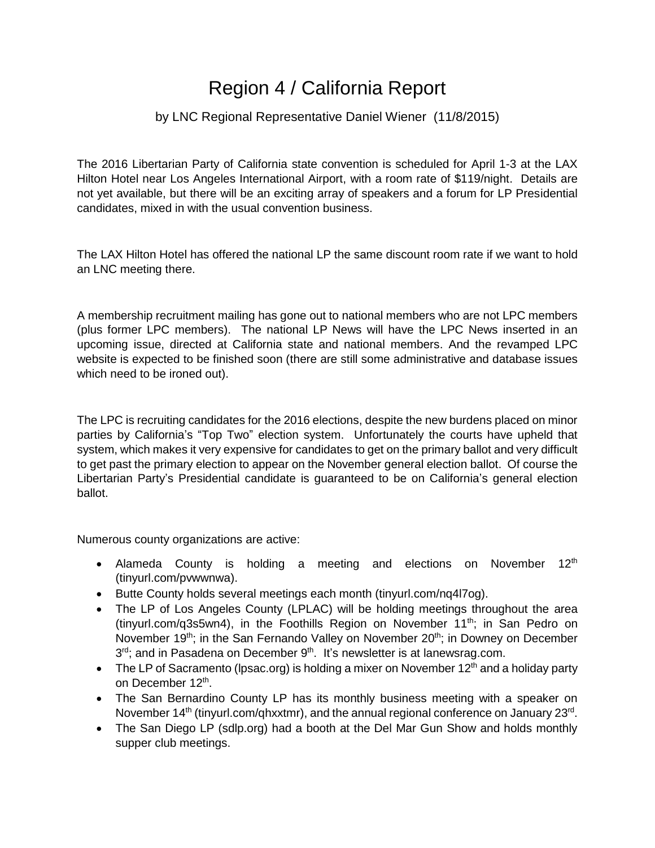## Region 4 / California Report

## by LNC Regional Representative Daniel Wiener (11/8/2015)

The 2016 Libertarian Party of California state convention is scheduled for April 1-3 at the LAX Hilton Hotel near Los Angeles International Airport, with a room rate of \$119/night. Details are not yet available, but there will be an exciting array of speakers and a forum for LP Presidential candidates, mixed in with the usual convention business.

The LAX Hilton Hotel has offered the national LP the same discount room rate if we want to hold an LNC meeting there.

A membership recruitment mailing has gone out to national members who are not LPC members (plus former LPC members). The national LP News will have the LPC News inserted in an upcoming issue, directed at California state and national members. And the revamped LPC website is expected to be finished soon (there are still some administrative and database issues which need to be ironed out).

The LPC is recruiting candidates for the 2016 elections, despite the new burdens placed on minor parties by California's "Top Two" election system. Unfortunately the courts have upheld that system, which makes it very expensive for candidates to get on the primary ballot and very difficult to get past the primary election to appear on the November general election ballot. Of course the Libertarian Party's Presidential candidate is guaranteed to be on California's general election ballot.

Numerous county organizations are active:

- Alameda County is holding a meeting and elections on November  $12<sup>th</sup>$ (tinyurl.com/pvwwnwa).
- Butte County holds several meetings each month (tinyurl.com/nq4l7og).
- The LP of Los Angeles County (LPLAC) will be holding meetings throughout the area (tinyurl.com/q3s5wn4), in the Foothills Region on November 11th; in San Pedro on November 19<sup>th</sup>; in the San Fernando Valley on November  $20<sup>th</sup>$ ; in Downey on December 3<sup>rd</sup>; and in Pasadena on December 9<sup>th</sup>. It's newsletter is at lanewsrag.com.
- The LP of Sacramento (Ipsac.org) is holding a mixer on November 12<sup>th</sup> and a holiday party on December 12<sup>th</sup>.
- The San Bernardino County LP has its monthly business meeting with a speaker on November 14<sup>th</sup> (tinyurl.com/qhxxtmr), and the annual regional conference on January 23<sup>rd</sup>.
- The San Diego LP (sdlp.org) had a booth at the Del Mar Gun Show and holds monthly supper club meetings.